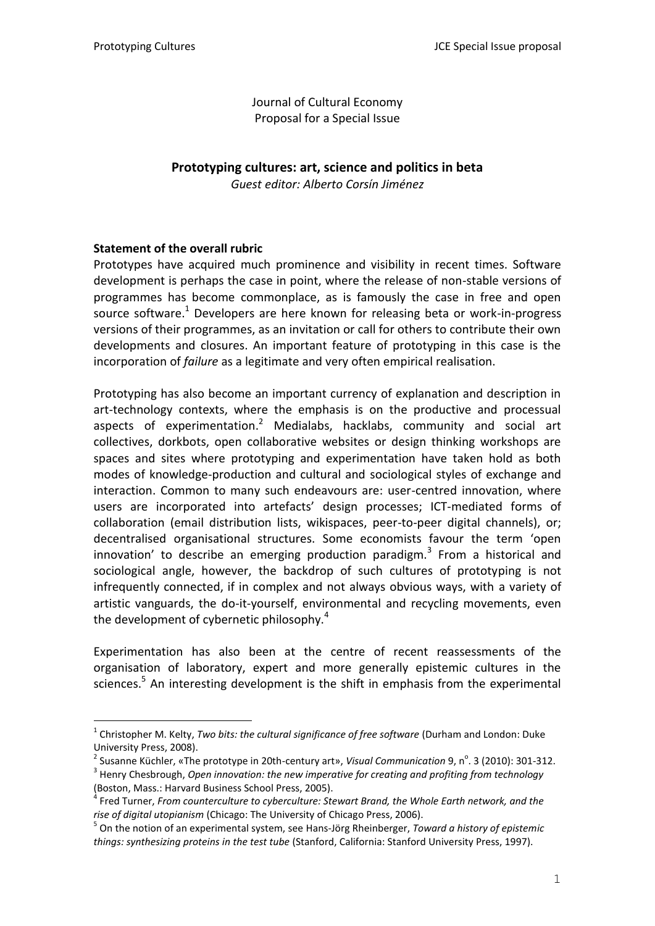Journal of Cultural Economy Proposal for a Special Issue

# **Prototyping cultures: art, science and politics in beta**

*Guest editor: Alberto Corsín Jiménez*

## **Statement of the overall rubric**

<u>—</u>

Prototypes have acquired much prominence and visibility in recent times. Software development is perhaps the case in point, where the release of non-stable versions of programmes has become commonplace, as is famously the case in free and open source software. $1$  Developers are here known for releasing beta or work-in-progress versions of their programmes, as an invitation or call for others to contribute their own developments and closures. An important feature of prototyping in this case is the incorporation of *failure* as a legitimate and very often empirical realisation.

Prototyping has also become an important currency of explanation and description in art-technology contexts, where the emphasis is on the productive and processual aspects of experimentation.<sup>2</sup> Medialabs, hacklabs, community and social art collectives, dorkbots, open collaborative websites or design thinking workshops are spaces and sites where prototyping and experimentation have taken hold as both modes of knowledge-production and cultural and sociological styles of exchange and interaction. Common to many such endeavours are: user-centred innovation, where users are incorporated into artefacts' design processes; ICT-mediated forms of collaboration (email distribution lists, wikispaces, peer-to-peer digital channels), or; decentralised organisational structures. Some economists favour the term 'open innovation' to describe an emerging production paradigm.<sup>3</sup> From a historical and sociological angle, however, the backdrop of such cultures of prototyping is not infrequently connected, if in complex and not always obvious ways, with a variety of artistic vanguards, the do-it-yourself, environmental and recycling movements, even the development of cybernetic philosophy. $4$ 

Experimentation has also been at the centre of recent reassessments of the organisation of laboratory, expert and more generally epistemic cultures in the sciences.<sup>5</sup> An interesting development is the shift in emphasis from the experimental

<sup>&</sup>lt;sup>1</sup> Christopher M. Kelty, *Two bits: the cultural significance of free software* (Durham and London: Duke University Press, 2008).

<sup>&</sup>lt;sup>2</sup> Susanne Küchler, «The prototype in 20th-century art», *Visual Communication* 9, n<sup>o</sup>. 3 (2010): 301-312.

<sup>3</sup> Henry Chesbrough, *Open innovation: the new imperative for creating and profiting from technology* (Boston, Mass.: Harvard Business School Press, 2005).

<sup>4</sup> Fred Turner, *From counterculture to cyberculture: Stewart Brand, the Whole Earth network, and the rise of digital utopianism* (Chicago: The University of Chicago Press, 2006).

<sup>5</sup> On the notion of an experimental system, see Hans-Jörg Rheinberger, *Toward a history of epistemic things: synthesizing proteins in the test tube* (Stanford, California: Stanford University Press, 1997).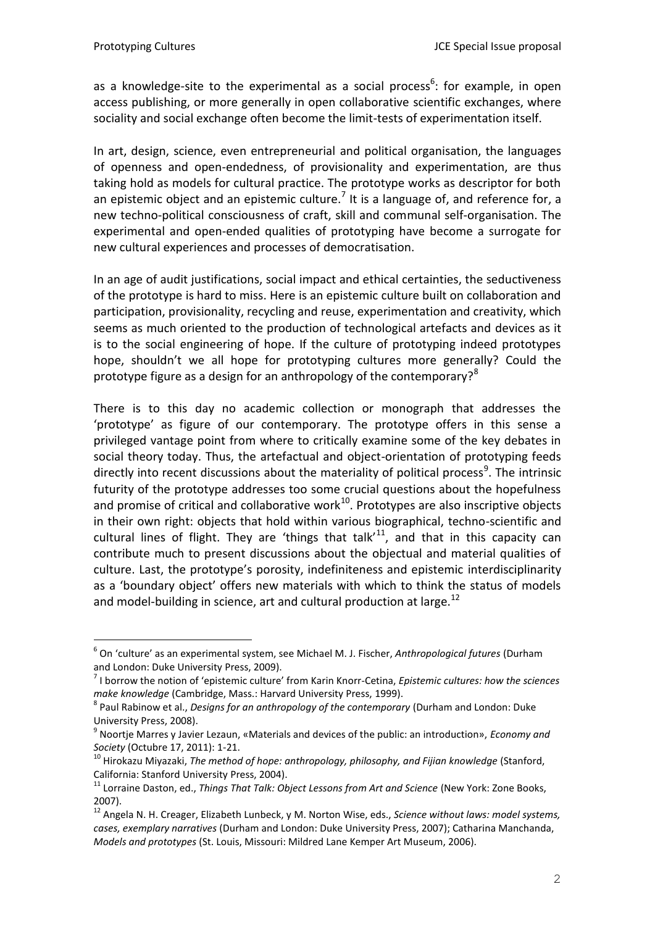<u>—</u>

as a knowledge-site to the experimental as a social process<sup>6</sup>: for example, in open access publishing, or more generally in open collaborative scientific exchanges, where sociality and social exchange often become the limit-tests of experimentation itself.

In art, design, science, even entrepreneurial and political organisation, the languages of openness and open-endedness, of provisionality and experimentation, are thus taking hold as models for cultural practice. The prototype works as descriptor for both an epistemic object and an epistemic culture.<sup>7</sup> It is a language of, and reference for, a new techno-political consciousness of craft, skill and communal self-organisation. The experimental and open-ended qualities of prototyping have become a surrogate for new cultural experiences and processes of democratisation.

In an age of audit justifications, social impact and ethical certainties, the seductiveness of the prototype is hard to miss. Here is an epistemic culture built on collaboration and participation, provisionality, recycling and reuse, experimentation and creativity, which seems as much oriented to the production of technological artefacts and devices as it is to the social engineering of hope. If the culture of prototyping indeed prototypes hope, shouldn't we all hope for prototyping cultures more generally? Could the prototype figure as a design for an anthropology of the contemporary?<sup>8</sup>

There is to this day no academic collection or monograph that addresses the 'prototype' as figure of our contemporary. The prototype offers in this sense a privileged vantage point from where to critically examine some of the key debates in social theory today. Thus, the artefactual and object-orientation of prototyping feeds directly into recent discussions about the materiality of political process<sup>9</sup>. The intrinsic futurity of the prototype addresses too some crucial questions about the hopefulness and promise of critical and collaborative work $^{10}$ . Prototypes are also inscriptive objects in their own right: objects that hold within various biographical, techno-scientific and cultural lines of flight. They are 'things that talk'<sup>11</sup>, and that in this capacity can contribute much to present discussions about the objectual and material qualities of culture. Last, the prototype's porosity, indefiniteness and epistemic interdisciplinarity as a 'boundary object' offers new materials with which to think the status of models and model-building in science, art and cultural production at large. $^{12}$ 

<sup>6</sup> On 'culture' as an experimental system, see Michael M. J. Fischer, *Anthropological futures* (Durham and London: Duke University Press, 2009).

<sup>7</sup> I borrow the notion of 'epistemic culture' from Karin Knorr-Cetina, *Epistemic cultures: how the sciences make knowledge* (Cambridge, Mass.: Harvard University Press, 1999).

<sup>8</sup> Paul Rabinow et al., *Designs for an anthropology of the contemporary* (Durham and London: Duke University Press, 2008).

<sup>9</sup> Noortje Marres y Javier Lezaun, «Materials and devices of the public: an introduction», *Economy and Society* (Octubre 17, 2011): 1-21.

<sup>10</sup> Hirokazu Miyazaki, *The method of hope: anthropology, philosophy, and Fijian knowledge* (Stanford, California: Stanford University Press, 2004).

<sup>&</sup>lt;sup>11</sup> Lorraine Daston, ed., *Things That Talk: Object Lessons from Art and Science* (New York: Zone Books, 2007).

<sup>12</sup> Angela N. H. Creager, Elizabeth Lunbeck, y M. Norton Wise, eds., *Science without laws: model systems, cases, exemplary narratives* (Durham and London: Duke University Press, 2007); Catharina Manchanda, *Models and prototypes* (St. Louis, Missouri: Mildred Lane Kemper Art Museum, 2006).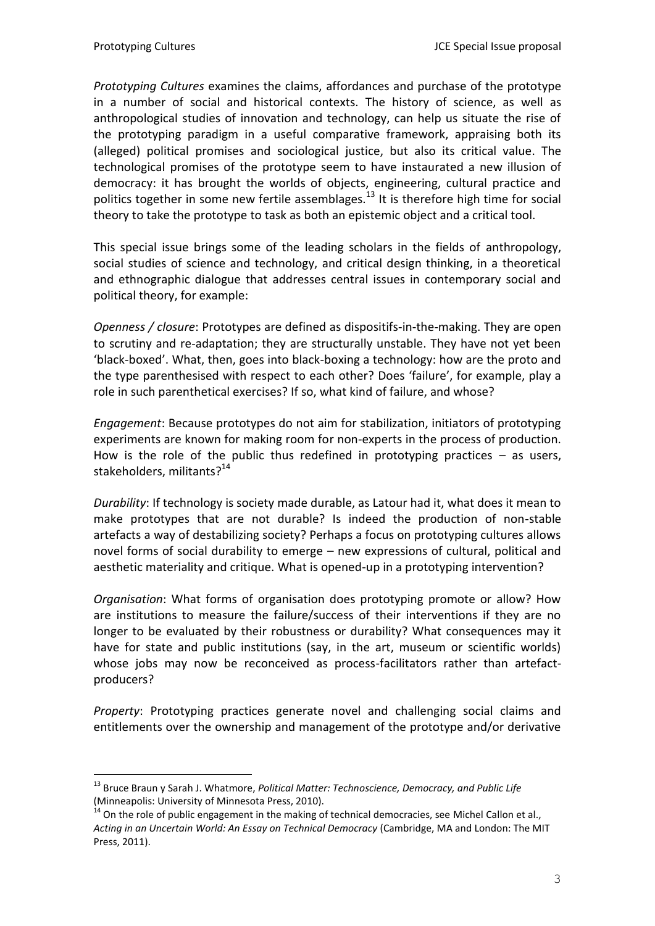<u>—</u>

*Prototyping Cultures* examines the claims, affordances and purchase of the prototype in a number of social and historical contexts. The history of science, as well as anthropological studies of innovation and technology, can help us situate the rise of the prototyping paradigm in a useful comparative framework, appraising both its (alleged) political promises and sociological justice, but also its critical value. The technological promises of the prototype seem to have instaurated a new illusion of democracy: it has brought the worlds of objects, engineering, cultural practice and politics together in some new fertile assemblages.<sup>13</sup> It is therefore high time for social theory to take the prototype to task as both an epistemic object and a critical tool.

This special issue brings some of the leading scholars in the fields of anthropology, social studies of science and technology, and critical design thinking, in a theoretical and ethnographic dialogue that addresses central issues in contemporary social and political theory, for example:

*Openness / closure*: Prototypes are defined as dispositifs-in-the-making. They are open to scrutiny and re-adaptation; they are structurally unstable. They have not yet been 'black-boxed'. What, then, goes into black-boxing a technology: how are the proto and the type parenthesised with respect to each other? Does 'failure', for example, play a role in such parenthetical exercises? If so, what kind of failure, and whose?

*Engagement*: Because prototypes do not aim for stabilization, initiators of prototyping experiments are known for making room for non-experts in the process of production. How is the role of the public thus redefined in prototyping practices  $-$  as users, stakeholders, militants?<sup>14</sup>

*Durability*: If technology is society made durable, as Latour had it, what does it mean to make prototypes that are not durable? Is indeed the production of non-stable artefacts a way of destabilizing society? Perhaps a focus on prototyping cultures allows novel forms of social durability to emerge – new expressions of cultural, political and aesthetic materiality and critique. What is opened-up in a prototyping intervention?

*Organisation*: What forms of organisation does prototyping promote or allow? How are institutions to measure the failure/success of their interventions if they are no longer to be evaluated by their robustness or durability? What consequences may it have for state and public institutions (say, in the art, museum or scientific worlds) whose jobs may now be reconceived as process-facilitators rather than artefactproducers?

*Property*: Prototyping practices generate novel and challenging social claims and entitlements over the ownership and management of the prototype and/or derivative

<sup>13</sup> Bruce Braun y Sarah J. Whatmore, *Political Matter: Technoscience, Democracy, and Public Life* (Minneapolis: University of Minnesota Press, 2010).

<sup>&</sup>lt;sup>14</sup> On the role of public engagement in the making of technical democracies, see Michel Callon et al., *Acting in an Uncertain World: An Essay on Technical Democracy* (Cambridge, MA and London: The MIT Press, 2011).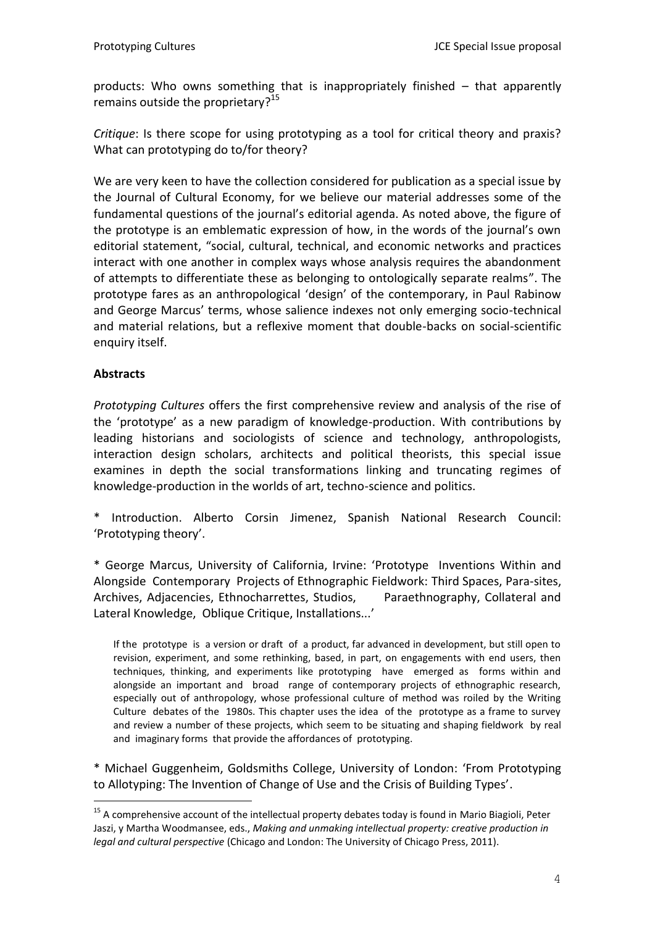products: Who owns something that is inappropriately finished – that apparently remains outside the proprietary?<sup>15</sup>

*Critique*: Is there scope for using prototyping as a tool for critical theory and praxis? What can prototyping do to/for theory?

We are very keen to have the collection considered for publication as a special issue by the Journal of Cultural Economy, for we believe our material addresses some of the fundamental questions of the journal's editorial agenda. As noted above, the figure of the prototype is an emblematic expression of how, in the words of the journal's own editorial statement, "social, cultural, technical, and economic networks and practices interact with one another in complex ways whose analysis requires the abandonment of attempts to differentiate these as belonging to ontologically separate realms". The prototype fares as an anthropological 'design' of the contemporary, in Paul Rabinow and George Marcus' terms, whose salience indexes not only emerging socio-technical and material relations, but a reflexive moment that double-backs on social-scientific enquiry itself.

### **Abstracts**

<u>—</u>

*Prototyping Cultures* offers the first comprehensive review and analysis of the rise of the 'prototype' as a new paradigm of knowledge-production. With contributions by leading historians and sociologists of science and technology, anthropologists, interaction design scholars, architects and political theorists, this special issue examines in depth the social transformations linking and truncating regimes of knowledge-production in the worlds of art, techno-science and politics.

\* Introduction. Alberto Corsin Jimenez, Spanish National Research Council: 'Prototyping theory'.

\* George Marcus, University of California, Irvine: 'Prototype Inventions Within and Alongside Contemporary Projects of Ethnographic Fieldwork: Third Spaces, Para-sites, Archives, Adjacencies, Ethnocharrettes, Studios, Paraethnography, Collateral and Lateral Knowledge, Oblique Critique, Installations...'

If the prototype is a version or draft of a product, far advanced in development, but still open to revision, experiment, and some rethinking, based, in part, on engagements with end users, then techniques, thinking, and experiments like prototyping have emerged as forms within and alongside an important and broad range of contemporary projects of ethnographic research, especially out of anthropology, whose professional culture of method was roiled by the Writing Culture debates of the 1980s. This chapter uses the idea of the prototype as a frame to survey and review a number of these projects, which seem to be situating and shaping fieldwork by real and imaginary forms that provide the affordances of prototyping.

\* Michael Guggenheim, Goldsmiths College, University of London: 'From Prototyping to Allotyping: The Invention of Change of Use and the Crisis of Building Types'.

<sup>&</sup>lt;sup>15</sup> A comprehensive account of the intellectual property debates today is found in Mario Biagioli, Peter Jaszi, y Martha Woodmansee, eds., *Making and unmaking intellectual property: creative production in legal and cultural perspective* (Chicago and London: The University of Chicago Press, 2011).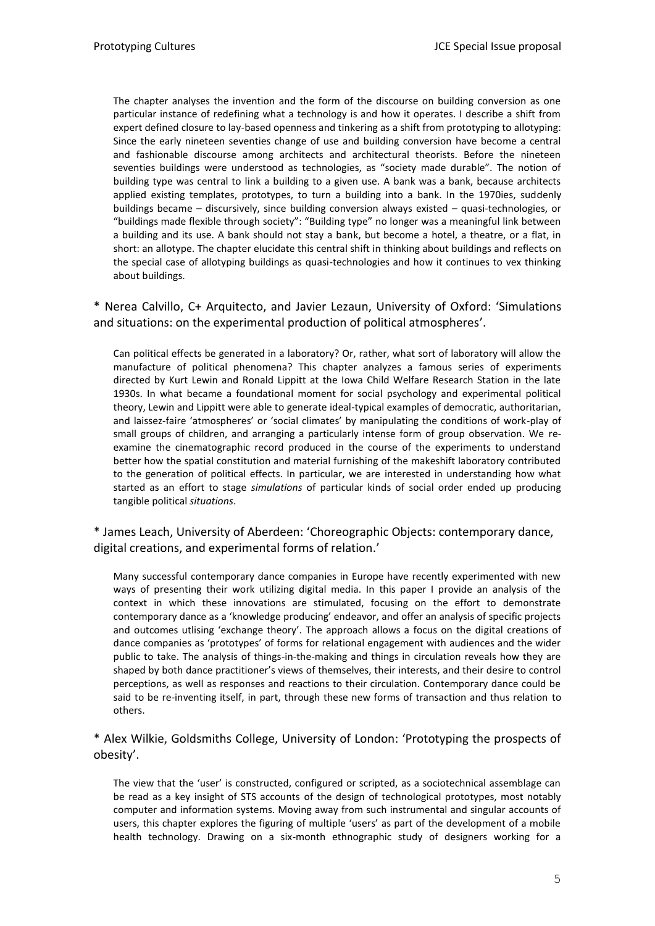The chapter analyses the invention and the form of the discourse on building conversion as one particular instance of redefining what a technology is and how it operates. I describe a shift from expert defined closure to lay-based openness and tinkering as a shift from prototyping to allotyping: Since the early nineteen seventies change of use and building conversion have become a central and fashionable discourse among architects and architectural theorists. Before the nineteen seventies buildings were understood as technologies, as "society made durable". The notion of building type was central to link a building to a given use. A bank was a bank, because architects applied existing templates, prototypes, to turn a building into a bank. In the 1970ies, suddenly buildings became – discursively, since building conversion always existed – quasi-technologies, or "buildings made flexible through society": "Building type" no longer was a meaningful link between a building and its use. A bank should not stay a bank, but become a hotel, a theatre, or a flat, in short: an allotype. The chapter elucidate this central shift in thinking about buildings and reflects on the special case of allotyping buildings as quasi-technologies and how it continues to vex thinking about buildings.

\* Nerea Calvillo, C+ Arquitecto, and Javier Lezaun, University of Oxford: 'Simulations and situations: on the experimental production of political atmospheres'.

Can political effects be generated in a laboratory? Or, rather, what sort of laboratory will allow the manufacture of political phenomena? This chapter analyzes a famous series of experiments directed by Kurt Lewin and Ronald Lippitt at the Iowa Child Welfare Research Station in the late 1930s. In what became a foundational moment for social psychology and experimental political theory, Lewin and Lippitt were able to generate ideal-typical examples of democratic, authoritarian, and laissez-faire 'atmospheres' or 'social climates' by manipulating the conditions of work-play of small groups of children, and arranging a particularly intense form of group observation. We reexamine the cinematographic record produced in the course of the experiments to understand better how the spatial constitution and material furnishing of the makeshift laboratory contributed to the generation of political effects. In particular, we are interested in understanding how what started as an effort to stage *simulations* of particular kinds of social order ended up producing tangible political *situations*.

\* James Leach, University of Aberdeen: 'Choreographic Objects: contemporary dance, digital creations, and experimental forms of relation.'

Many successful contemporary dance companies in Europe have recently experimented with new ways of presenting their work utilizing digital media. In this paper I provide an analysis of the context in which these innovations are stimulated, focusing on the effort to demonstrate contemporary dance as a 'knowledge producing' endeavor, and offer an analysis of specific projects and outcomes utlising 'exchange theory'. The approach allows a focus on the digital creations of dance companies as 'prototypes' of forms for relational engagement with audiences and the wider public to take. The analysis of things-in-the-making and things in circulation reveals how they are shaped by both dance practitioner's views of themselves, their interests, and their desire to control perceptions, as well as responses and reactions to their circulation. Contemporary dance could be said to be re-inventing itself, in part, through these new forms of transaction and thus relation to others.

\* Alex Wilkie, Goldsmiths College, University of London: 'Prototyping the prospects of obesity'.

The view that the 'user' is constructed, configured or scripted, as a sociotechnical assemblage can be read as a key insight of STS accounts of the design of technological prototypes, most notably computer and information systems. Moving away from such instrumental and singular accounts of users, this chapter explores the figuring of multiple 'users' as part of the development of a mobile health technology. Drawing on a six-month ethnographic study of designers working for a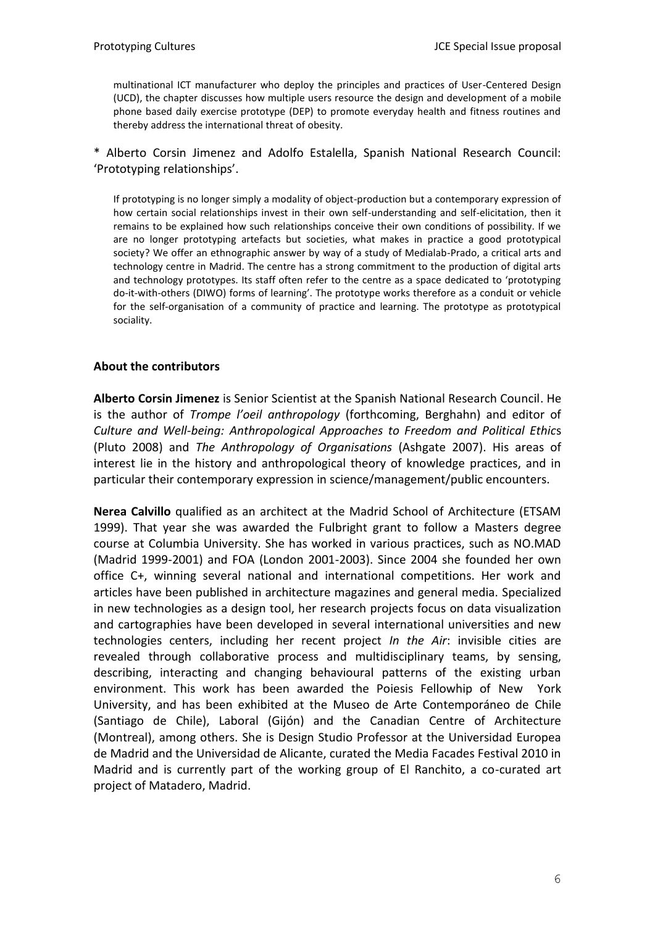multinational ICT manufacturer who deploy the principles and practices of User-Centered Design (UCD), the chapter discusses how multiple users resource the design and development of a mobile phone based daily exercise prototype (DEP) to promote everyday health and fitness routines and thereby address the international threat of obesity.

\* Alberto Corsin Jimenez and Adolfo Estalella, Spanish National Research Council: 'Prototyping relationships'.

If prototyping is no longer simply a modality of object-production but a contemporary expression of how certain social relationships invest in their own self-understanding and self-elicitation, then it remains to be explained how such relationships conceive their own conditions of possibility. If we are no longer prototyping artefacts but societies, what makes in practice a good prototypical society? We offer an ethnographic answer by way of a study of Medialab-Prado, a critical arts and technology centre in Madrid. The centre has a strong commitment to the production of digital arts and technology prototypes. Its staff often refer to the centre as a space dedicated to 'prototyping do-it-with-others (DIWO) forms of learning'. The prototype works therefore as a conduit or vehicle for the self-organisation of a community of practice and learning. The prototype as prototypical sociality.

#### **About the contributors**

**Alberto Corsin Jimenez** is Senior Scientist at the Spanish National Research Council. He is the author of *Trompe l'oeil anthropology* (forthcoming, Berghahn) and editor of *Culture and Well-being: Anthropological Approaches to Freedom and Political Ethic*s (Pluto 2008) and *The Anthropology of Organisations* (Ashgate 2007). His areas of interest lie in the history and anthropological theory of knowledge practices, and in particular their contemporary expression in science/management/public encounters.

**Nerea Calvillo** qualified as an architect at the Madrid School of Architecture (ETSAM 1999). That year she was awarded the Fulbright grant to follow a Masters degree course at Columbia University. She has worked in various practices, such as NO.MAD (Madrid 1999-2001) and FOA (London 2001-2003). Since 2004 she founded her own office C+, winning several national and international competitions. Her work and articles have been published in architecture magazines and general media. Specialized in new technologies as a design tool, her research projects focus on data visualization and cartographies have been developed in several international universities and new technologies centers, including her recent project *In the Air*: invisible cities are revealed through collaborative process and multidisciplinary teams, by sensing, describing, interacting and changing behavioural patterns of the existing urban environment. This work has been awarded the Poiesis Fellowhip of New York University, and has been exhibited at the Museo de Arte Contemporáneo de Chile (Santiago de Chile), Laboral (Gijón) and the Canadian Centre of Architecture (Montreal), among others. She is Design Studio Professor at the Universidad Europea de Madrid and the Universidad de Alicante, curated the Media Facades Festival 2010 in Madrid and is currently part of the working group of El Ranchito, a co-curated art project of Matadero, Madrid.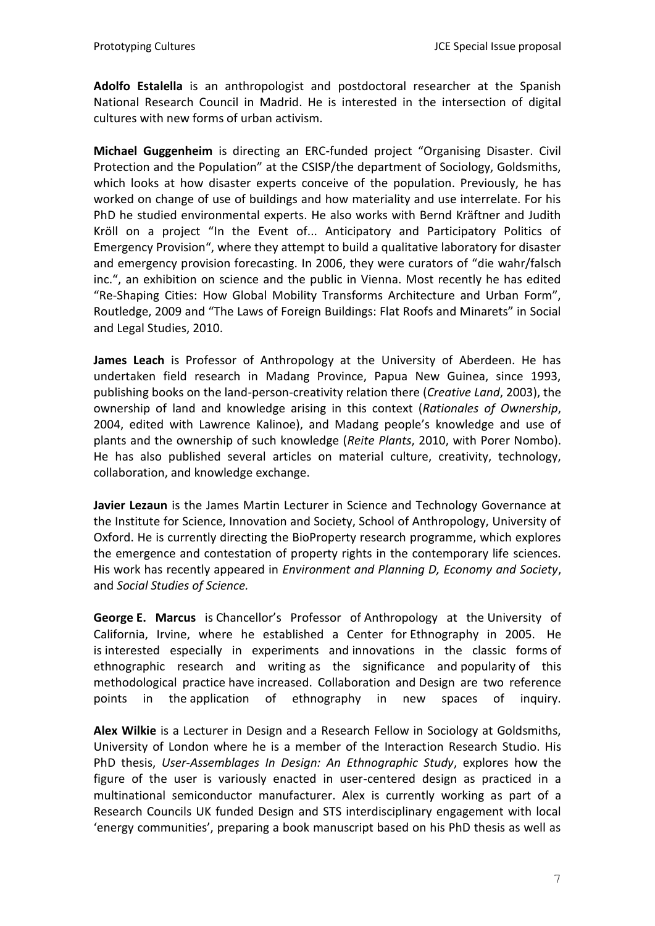**Adolfo Estalella** is an anthropologist and postdoctoral researcher at the Spanish National Research Council in Madrid. He is interested in the intersection of digital cultures with new forms of urban activism.

**Michael Guggenheim** is directing an ERC-funded project "Organising Disaster. Civil Protection and the Population" at the CSISP/the department of Sociology, Goldsmiths, which looks at how disaster experts conceive of the population. Previously, he has worked on change of use of buildings and how materiality and use interrelate. For his PhD he studied environmental experts. He also works with Bernd Kräftner and Judith Kröll on a project "In the Event of... Anticipatory and Participatory Politics of Emergency Provision", where they attempt to build a qualitative laboratory for disaster and emergency provision forecasting. In 2006, they were curators of "die wahr/falsch inc.", an exhibition on science and the public in Vienna. Most recently he has edited "Re-Shaping Cities: How Global Mobility Transforms Architecture and Urban Form", Routledge, 2009 and "The Laws of Foreign Buildings: Flat Roofs and Minarets" in Social and Legal Studies, 2010.

**James Leach** is Professor of Anthropology at the University of Aberdeen. He has undertaken field research in Madang Province, Papua New Guinea, since 1993, publishing books on the land-person-creativity relation there (*Creative Land*, 2003), the ownership of land and knowledge arising in this context (*Rationales of Ownership*, 2004, edited with Lawrence Kalinoe), and Madang people's knowledge and use of plants and the ownership of such knowledge (*Reite Plants*, 2010, with Porer Nombo). He has also published several articles on material culture, creativity, technology, collaboration, and knowledge exchange.

**Javier Lezaun** is the James Martin Lecturer in Science and Technology Governance at the Institute for Science, Innovation and Society, School of Anthropology, University of Oxford. He is currently directing the BioProperty research programme, which explores the emergence and contestation of property rights in the contemporary life sciences. His work has recently appeared in *Environment and Planning D, Economy and Society*, and *Social Studies of Science.*

**George E. Marcus** is Chancellor's Professor of Anthropology at the University of California, Irvine, where he established a Center for Ethnography in 2005. He is interested especially in experiments and innovations in the classic forms of ethnographic research and writing as the significance and popularity of this methodological practice have increased. Collaboration and Design are two reference points in the application of ethnography in new spaces of inquiry.

**Alex Wilkie** is a Lecturer in Design and a Research Fellow in Sociology at Goldsmiths, University of London where he is a member of the Interaction Research Studio. His PhD thesis, *User-Assemblages In Design: An Ethnographic Study*, explores how the figure of the user is variously enacted in user-centered design as practiced in a multinational semiconductor manufacturer. Alex is currently working as part of a Research Councils UK funded Design and STS interdisciplinary engagement with local 'energy communities', preparing a book manuscript based on his PhD thesis as well as